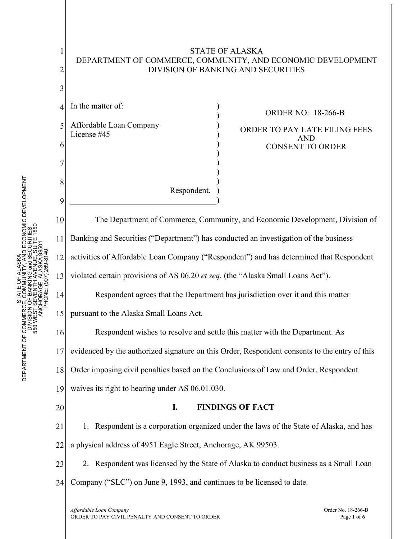## 1 2 3 4 5 6 7 8 9 10 11 12 13 14 15 16 17 18 19 20 21 22 23 24 STATE OF ALASKA DEPARTMENT OF COMMERCE, COMMUNITY, AND ECONOMIC DEVELOPMENT DIVISION OF BANKING AND SECURITIES The Department of Commerce, Community, and Economic Development, Division of Banking and Securities ("Department") has conducted an investigation of the business activities of Affordable Loan Company ("Respondent") and has determined that Respondent violated certain provisions of AS 06.20 *et seq.* (the "Alaska Small Loans Act"). Respondent agrees that the Department has jurisdiction over it and this matter pursuant to the Alaska Small Loans Act. Respondent wishes to resolve and settle this matter with the Department. As evidenced by the authorized signature on this Order, Respondent consents to the entry of this Order imposing civil penalties based on the Conclusions of Law and Order. Respondent waives its right to hearing under AS 06.01.030. **I. FINDINGS OF FACT** 1. Respondent is a corporation organized under the laws of the State of Alaska, and has a physical address of 4951 Eagle Street, Anchorage, AK 99503. 2. Respondent was licensed by the State of Alaska to conduct business as a Small Loan Company ("SLC") on June 9, 1993, and continues to be licensed to date. In the matter of: Affordable Loan Company License #45 Respondent. ) ) ) ) ) ) ) ) ) ) ) ORDER NO:18-266-B ORDER TO PAY LATE FILING FEES AND CONSENT TO ORDER

*Affordable Loan Company* Order No. 18-266-B ORDER TO PAY CIVIL PENALTY AND CONSENT TO ORDERPage **<sup>1</sup>** of **<sup>6</sup>**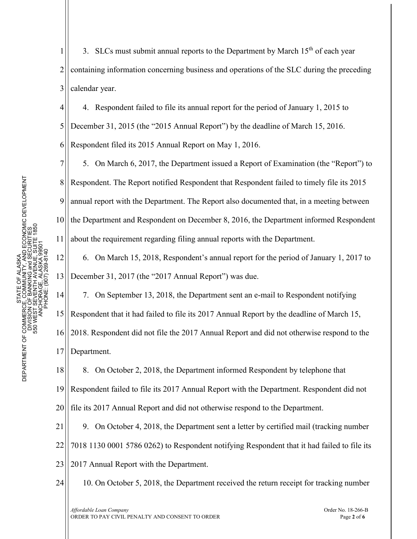11

14

1 2 3 3. SLCs must submit annual reports to the Department by March  $15<sup>th</sup>$  of each year containing information concerning business and operations of the SLC during the preceding calendar year.

4 5 4. Respondent failed to file its annual report for the period of January 1, 2015 to December 31, 2015 (the "2015 Annual Report") by the deadline of March 15, 2016.

6 Respondent filed its 2015 Annual Report on May 1, 2016.

7 8 9 10 5. On March 6, 2017, the Department issued a Report of Examination (the "Report") to Respondent. The Report notified Respondent that Respondent failed to timely file its 2015 annual report with the Department. The Report also documented that, in a meeting between the Department and Respondent on December 8, 2016, the Department informed Respondent about the requirement regarding filing annual reports with the Department.

12 13 6. On March 15, 2018, Respondent's annual report for the period of January 1, 2017 to December 31, 2017 (the "2017 Annual Report") was due.

7. On September 13, 2018, the Department sent an e-mail to Respondent notifying

15 Respondent that it had failed to file its 2017 Annual Report by the deadline of March 15,

16 17 2018. Respondent did not file the 2017 Annual Report and did not otherwise respond to the Department.

18 19 20 8. On October 2, 2018, the Department informed Respondent by telephone that Respondent failed to file its 2017 Annual Report with the Department. Respondent did not file its 2017 Annual Report and did not otherwise respond to the Department.

21 22 23 9. On October 4, 2018, the Department sent a letter by certified mail (tracking number 7018 1130 0001 5786 0262) to Respondent notifying Respondent that it had failed to file its 2017 Annual Report with the Department.

24 10. On October 5, 2018, the Department received the return receipt for tracking number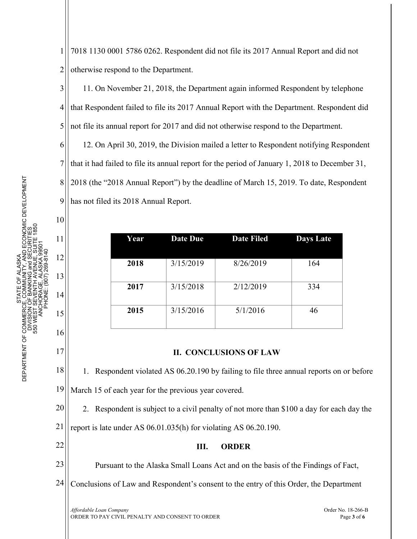6 7 TY, AND ECONOMIC DEVELOPMENT<br>and SECURITIES<br>ENUE, SUITE 1850 DEPARTMENT OF COMMERCE, COMMUNITY, AND ECONOMIC DEVELOPMENT 8 9 10 550 WEST SEVENTH AVENUE, SUITE 1850 DIVISION OF BANKING and SECURITIES 11 ANCHORAGE, ALASKA 99501 PHONE: (907) 269-8140 12 AL ASKA STATE OF ALASKA 집 13 ŏ STATE COMM<br>JE, COMM<br>OF BANK

14

15

16

17

DEPARTMENT OF COMMERCI<br>DIVISION<br>S50 WEST S

1 2 7018 1130 0001 5786 0262. Respondent did not file its 2017 Annual Report and did not otherwise respond to the Department.

3 4 5 11. On November 21, 2018, the Department again informed Respondent by telephone that Respondent failed to file its 2017 Annual Report with the Department. Respondent did not file its annual report for 2017 and did not otherwise respond to the Department.

12. On April 30, 2019, the Division mailed a letter to Respondent notifying Respondent that it had failed to file its annual report for the period of January 1, 2018 to December 31, 2018 (the "2018 Annual Report") by the deadline of March 15, 2019. To date, Respondent has not filed its 2018 Annual Report.

| Year | <b>Date Due</b> | <b>Date Filed</b> | <b>Days Late</b> |
|------|-----------------|-------------------|------------------|
| 2018 | 3/15/2019       | 8/26/2019         | 164              |
| 2017 | 3/15/2018       | 2/12/2019         | 334              |
| 2015 | 3/15/2016       | 5/1/2016          | 46               |

## **II. CONCLUSIONS OF LAW**

18 19 1. Respondent violated AS 06.20.190 by failing to file three annual reports on or before March 15 of each year for the previous year covered.

20 21 2. Respondent is subject to a civil penalty of not more than \$100 a day for each day the report is late under AS 06.01.035(h) for violating AS 06.20.190.

22

**III. ORDER**

23 Pursuant to the Alaska Small Loans Act and on the basis of the Findings of Fact,

24 Conclusions of Law and Respondent's consent to the entry of this Order, the Department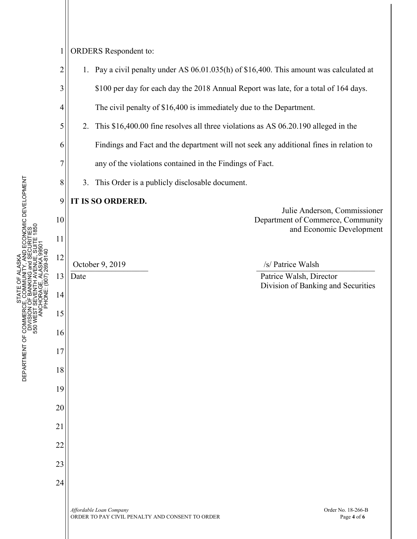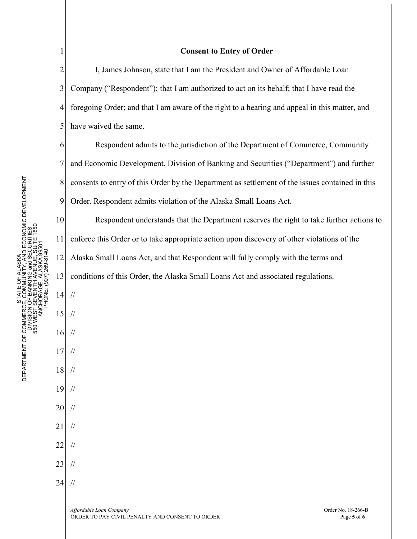| DEPARTMENT OF COMMERCE, COMMUNITY, AND ECONOMIC DEVELOPMENT | DIVISION OF BANKING and SECURITIES<br>550 WEST SEVENTH AVENUE, SUITE 1850<br>ANCHORAGE, ALASKA 99501 |
|-------------------------------------------------------------|------------------------------------------------------------------------------------------------------|
| STATE OF ALASKA                                             | PHONE: (907) 269-8140                                                                                |
|                                                             |                                                                                                      |

14

//

//

//

//

//

//

//

//

//

//

//

15

16

17

18

19

20

21

22

23

24

1

## **Consent to Entry of Order**

2 3 4 5 I, James Johnson, state that I am the President and Owner of Affordable Loan Company ("Respondent"); that I am authorized to act on its behalf; that I have read the foregoing Order; and that I am aware of the right to a hearing and appeal in this matter, and have waived the same.

6 7 8 9 Respondent admits to the jurisdiction of the Department of Commerce, Community and Economic Development, Division of Banking and Securities ("Department") and further consents to entry of this Order by the Department as settlement of the issues contained in this Order. Respondent admits violation of the Alaska Small Loans Act.

10 11 12 Respondent understands that the Department reserves the right to take further actions to enforce this Order or to take appropriate action upon discovery of other violations of the Alaska Small Loans Act, and that Respondent will fully comply with the terms and

13 conditions of this Order, the Alaska Small Loans Act and associated regulations.